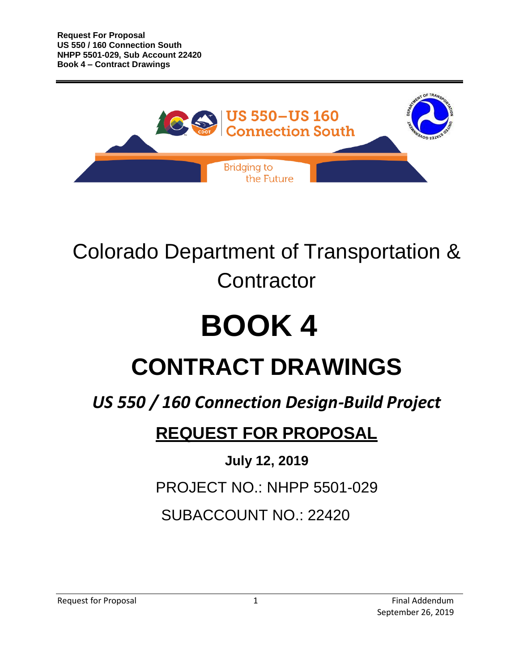

## Colorado Department of Transportation & **Contractor**

# **BOOK 4**

## **CONTRACT DRAWINGS**

## *US 550 / 160 Connection Design-Build Project*

### **REQUEST FOR PROPOSAL**

### **July 12, 2019**

PROJECT NO.: NHPP 5501-029

### SUBACCOUNT NO.: 22420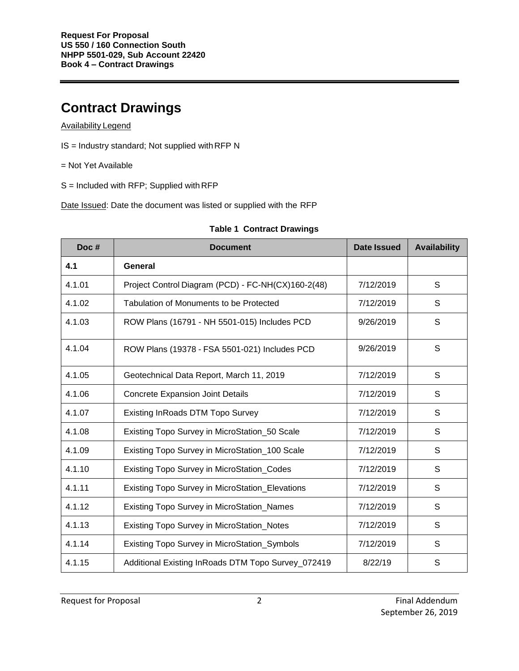#### **Contract Drawings**

#### Availability Legend

- IS = Industry standard; Not supplied withRFP N
- = Not Yet Available
- S = Included with RFP; Supplied with RFP

Date Issued: Date the document was listed or supplied with the RFP

| Doc#   | <b>Document</b>                                    | Date Issued | <b>Availability</b> |
|--------|----------------------------------------------------|-------------|---------------------|
| 4.1    | General                                            |             |                     |
| 4.1.01 | Project Control Diagram (PCD) - FC-NH(CX)160-2(48) | 7/12/2019   | S                   |
| 4.1.02 | Tabulation of Monuments to be Protected            | 7/12/2019   | S                   |
| 4.1.03 | ROW Plans (16791 - NH 5501-015) Includes PCD       | 9/26/2019   | S                   |
| 4.1.04 | ROW Plans (19378 - FSA 5501-021) Includes PCD      | 9/26/2019   | S                   |
| 4.1.05 | Geotechnical Data Report, March 11, 2019           | 7/12/2019   | S                   |
| 4.1.06 | <b>Concrete Expansion Joint Details</b>            | 7/12/2019   | S                   |
| 4.1.07 | <b>Existing InRoads DTM Topo Survey</b>            | 7/12/2019   | S                   |
| 4.1.08 | Existing Topo Survey in MicroStation_50 Scale      | 7/12/2019   | S                   |
| 4.1.09 | Existing Topo Survey in MicroStation_100 Scale     | 7/12/2019   | S                   |
| 4.1.10 | Existing Topo Survey in MicroStation_Codes         | 7/12/2019   | S                   |
| 4.1.11 | Existing Topo Survey in MicroStation_Elevations    | 7/12/2019   | S                   |
| 4.1.12 | <b>Existing Topo Survey in MicroStation_Names</b>  | 7/12/2019   | S                   |
| 4.1.13 | Existing Topo Survey in MicroStation_Notes         | 7/12/2019   | S                   |
| 4.1.14 | Existing Topo Survey in MicroStation_Symbols       | 7/12/2019   | S                   |
| 4.1.15 | Additional Existing InRoads DTM Topo Survey_072419 | 8/22/19     | S                   |

#### **Table 1 Contract Drawings**